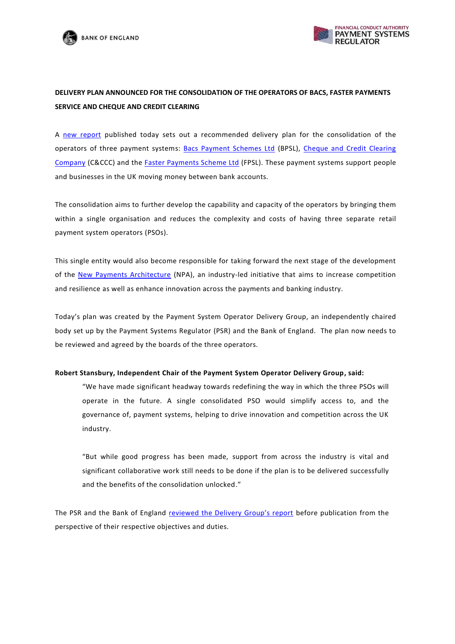



# **DELIVERY PLAN ANNOUNCED FOR THE CONSOLIDATION OF THE OPERATORS OF BACS, FASTER PAYMENTS SERVICE AND CHEQUE AND CREDIT CLEARING**

A [new report](https://www.psr.org.uk/psr-focus/payment-system-operator-delivery-group) published today sets out a recommended delivery plan for the consolidation of the operators of three payment systems: [Bacs Payment Schemes Ltd](https://www.bacs.co.uk/Pages/Home.aspx) (BPSL), [Cheque and Credit Clearing](https://www.chequeandcredit.co.uk/)  [Company](https://www.chequeandcredit.co.uk/) (C&CCC) and the [Faster Payments Scheme Ltd](http://www.fasterpayments.org.uk/) (FPSL). These payment systems support people and businesses in the UK moving money between bank accounts.

The consolidation aims to further develop the capability and capacity of the operators by bringing them within a single organisation and reduces the complexity and costs of having three separate retail payment system operators (PSOs).

This single entity would also become responsible for taking forward the next stage of the development of the [New Payments Architecture](https://implementation.paymentsforum.uk/strategy) (NPA), an industry-led initiative that aims to increase competition and resilience as well as enhance innovation across the payments and banking industry.

Today's plan was created by the Payment System Operator Delivery Group, an independently chaired body set up by the Payment Systems Regulator (PSR) and the Bank of England. The plan now needs to be reviewed and agreed by the boards of the three operators.

## **Robert Stansbury, Independent Chair of the Payment System Operator Delivery Group, said:**

"We have made significant headway towards redefining the way in which the three PSOs will operate in the future. A single consolidated PSO would simplify access to, and the governance of, payment systems, helping to drive innovation and competition across the UK industry.

"But while good progress has been made, support from across the industry is vital and significant collaborative work still needs to be done if the plan is to be delivered successfully and the benefits of the consolidation unlocked."

The PSR and the Bank of England [reviewed the Delivery Group's report](https://www.psr.org.uk/psr-publications/news-announcements/joint-statement-on-PSODG-report-from-PSR-and-Bank) before publication from the perspective of their respective objectives and duties.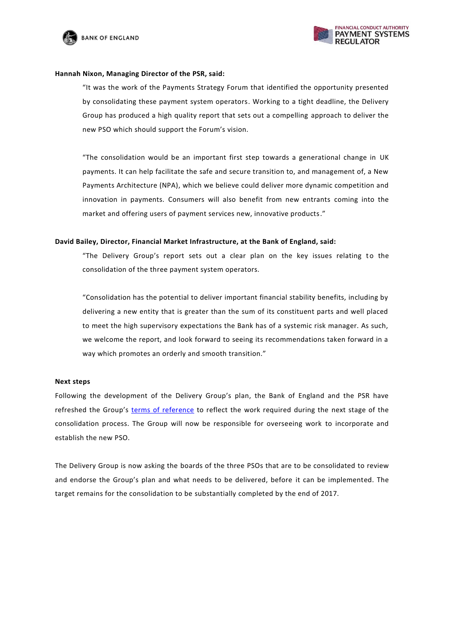



## **Hannah Nixon, Managing Director of the PSR, said:**

"It was the work of the Payments Strategy Forum that identified the opportunity presented by consolidating these payment system operators. Working to a tight deadline, the Delivery Group has produced a high quality report that sets out a compelling approach to deliver the new PSO which should support the Forum's vision.

"The consolidation would be an important first step towards a generational change in UK payments. It can help facilitate the safe and secure transition to, and management of, a New Payments Architecture (NPA), which we believe could deliver more dynamic competition and innovation in payments. Consumers will also benefit from new entrants coming into the market and offering users of payment services new, innovative products."

## **David Bailey, Director, Financial Market Infrastructure, at the Bank of England, said:**

"The Delivery Group's report sets out a clear plan on the key issues relating to the consolidation of the three payment system operators.

"Consolidation has the potential to deliver important financial stability benefits, including by delivering a new entity that is greater than the sum of its constituent parts and well placed to meet the high supervisory expectations the Bank has of a systemic risk manager. As such, we welcome the report, and look forward to seeing its recommendations taken forward in a way which promotes an orderly and smooth transition."

## **Next steps**

Following the development of the Delivery Group's plan, the Bank of England and the PSR have refreshed the Group's [terms of reference](https://www.psr.org.uk/sites/default/files/media/PDF/PSODG-Revised-Terms-of-Reference.pdf) to reflect the work required during the next stage of the consolidation process. The Group will now be responsible for overseeing work to incorporate and establish the new PSO.

The Delivery Group is now asking the boards of the three PSOs that are to be consolidated to review and endorse the Group's plan and what needs to be delivered, before it can be implemented. The target remains for the consolidation to be substantially completed by the end of 2017.